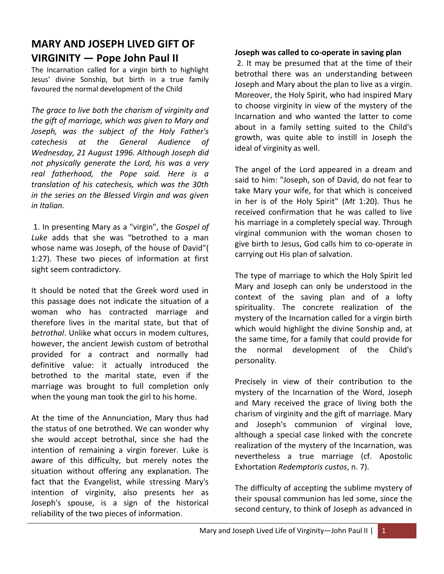## **MARY AND JOSEPH LIVED GIFT OF VIRGINITY — Pope John Paul II**

The Incarnation called for a virgin birth to highlight Jesus' divine Sonship, but birth in a true family favoured the normal development of the Child

*The grace to live both the charism of virginity and the gift of marriage, which was given to Mary and Joseph, was the subject of the Holy Father's catechesis at the General Audience of Wednesday, 21 August 1996. Although Joseph did not physically generate the Lord, his was a very real fatherhood, the Pope said. Here is a translation of his catechesis, which was the 30th in the series on the Blessed Virgin and was given in Italian.*

1. In presenting Mary as a "virgin", the *Gospel of Luke* adds that she was "betrothed to a man whose name was Joseph, of the house of David"( 1:27). These two pieces of information at first sight seem contradictory.

It should be noted that the Greek word used in this passage does not indicate the situation of a woman who has contracted marriage and therefore lives in the marital state, but that of *betrothal*. Unlike what occurs in modem cultures, however, the ancient Jewish custom of betrothal provided for a contract and normally had definitive value: it actually introduced the betrothed to the marital state, even if the marriage was brought to full completion only when the young man took the girl to his home.

At the time of the Annunciation, Mary thus had the status of one betrothed. We can wonder why she would accept betrothal, since she had the intention of remaining a virgin forever. Luke is aware of this difficulty, but merely notes the situation without offering any explanation. The fact that the Evangelist, while stressing Mary's intention of virginity, also presents her as Joseph's spouse, is a sign of the historical reliability of the two pieces of information.

## **Joseph was called to co-operate in saving plan**

2. It may be presumed that at the time of their betrothal there was an understanding between Joseph and Mary about the plan to live as a virgin. Moreover, the Holy Spirit, who had inspired Mary to choose virginity in view of the mystery of the Incarnation and who wanted the latter to come about in a family setting suited to the Child's growth, was quite able to instill in Joseph the ideal of virginity as well.

The angel of the Lord appeared in a dream and said to him: "Joseph, son of David, do not fear to take Mary your wife, for that which is conceived in her is of the Holy Spirit" (*Mt* 1:20). Thus he received confirmation that he was called to live his marriage in a completely special way. Through virginal communion with the woman chosen to give birth to Jesus, God calls him to co-operate in carrying out His plan of salvation.

The type of marriage to which the Holy Spirit led Mary and Joseph can only be understood in the context of the saving plan and of a lofty spirituality. The concrete realization of the mystery of the Incarnation called for a virgin birth which would highlight the divine Sonship and, at the same time, for a family that could provide for the normal development of the Child's personality.

Precisely in view of their contribution to the mystery of the Incarnation of the Word, Joseph and Mary received the grace of living both the charism of virginity and the gift of marriage. Mary and Joseph's communion of virginal love, although a special case linked with the concrete realization of the mystery of the Incarnation, was nevertheless a true marriage (cf. Apostolic Exhortation *Redemptoris custos*, n. 7).

The difficulty of accepting the sublime mystery of their spousal communion has led some, since the second century, to think of Joseph as advanced in